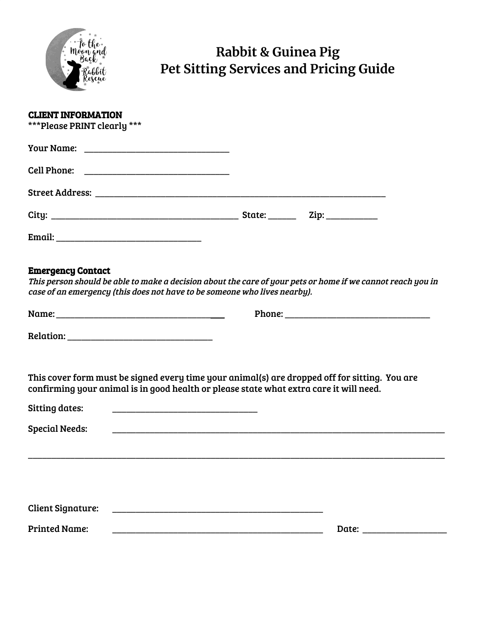

# **Rabbit & Guinea Pig Pet Sitting Services and Pricing Guide**

| <b>CLIENT INFORMATION</b><br>***Please PRINT clearly ***                                                                                                                                                             |       |  |
|----------------------------------------------------------------------------------------------------------------------------------------------------------------------------------------------------------------------|-------|--|
|                                                                                                                                                                                                                      |       |  |
|                                                                                                                                                                                                                      |       |  |
|                                                                                                                                                                                                                      |       |  |
|                                                                                                                                                                                                                      |       |  |
|                                                                                                                                                                                                                      |       |  |
| <b>Emergency Contact</b><br>This person should be able to make a decision about the care of your pets or home if we cannot reach you in<br>case of an emergency (this does not have to be someone who lives nearby). |       |  |
|                                                                                                                                                                                                                      |       |  |
|                                                                                                                                                                                                                      |       |  |
| This cover form must be signed every time your animal(s) are dropped off for sitting. You are<br>confirming your animal is in good health or please state what extra care it will need.<br><b>Sitting dates:</b>     |       |  |
| <b>Special Needs:</b>                                                                                                                                                                                                |       |  |
|                                                                                                                                                                                                                      |       |  |
|                                                                                                                                                                                                                      |       |  |
| <b>Client Signature:</b>                                                                                                                                                                                             |       |  |
| <b>Printed Name:</b>                                                                                                                                                                                                 | Date: |  |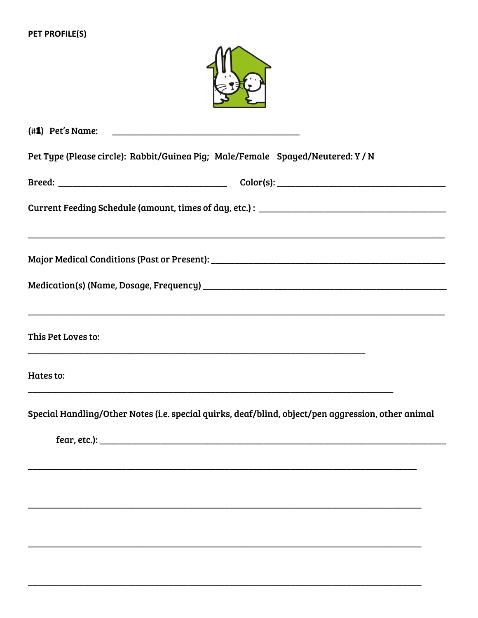

(#1) Pet's Name: Pet Type (Please circle): Rabbit/Guinea Pig; Male/Female Spayed/Neutered: Y / N Current Feeding Schedule (amount, times of day, etc.): \_\_\_\_\_\_\_\_\_\_\_\_\_\_\_\_\_\_\_\_\_\_\_\_\_\_ This Pet Loves to: Hates to: Special Handling/Other Notes (i.e. special quirks, deaf/blind, object/pen aggression, other animal fear, etc.): the contract of the contract of the contract of the contract of the contract of the contract of the contract of the contract of the contract of the contract of the contract of the contract of the contract of t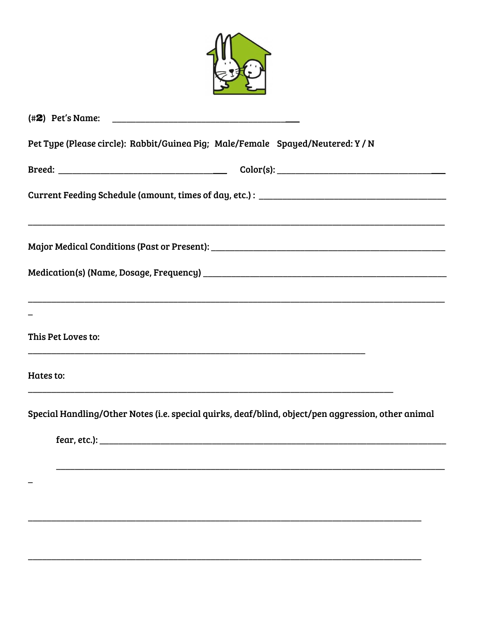| Pet Type (Please circle): Rabbit/Guinea Pig; Male/Female Spayed/Neutered: Y / N                         |
|---------------------------------------------------------------------------------------------------------|
|                                                                                                         |
|                                                                                                         |
|                                                                                                         |
|                                                                                                         |
|                                                                                                         |
| This Pet Loves to:<br>,我们也不能在这里的时候,我们也不能在这里的时候,我们也不能会在这里的时候,我们也不能会在这里的时候,我们也不能会在这里的时候,我们也不能会在这里的时候,我们也不 |
| Hates to:                                                                                               |
| Special Handling/Other Notes (i.e. special quirks, deaf/blind, object/pen aggression, other animal      |
|                                                                                                         |
|                                                                                                         |
|                                                                                                         |
|                                                                                                         |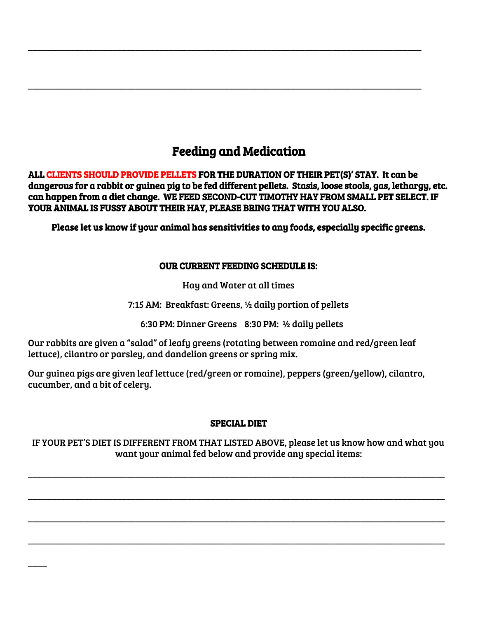## Feeding and Medication

\_\_\_\_\_\_\_\_\_\_\_\_\_\_\_\_\_\_\_\_\_\_\_\_\_\_\_\_\_\_\_\_\_\_\_\_\_\_\_\_\_\_\_\_\_\_\_\_\_\_\_\_\_\_\_\_\_\_\_\_\_\_\_\_\_\_\_\_\_\_\_\_\_\_\_\_\_\_\_\_\_\_\_\_

\_\_\_\_\_\_\_\_\_\_\_\_\_\_\_\_\_\_\_\_\_\_\_\_\_\_\_\_\_\_\_\_\_\_\_\_\_\_\_\_\_\_\_\_\_\_\_\_\_\_\_\_\_\_\_\_\_\_\_\_\_\_\_\_\_\_\_\_\_\_\_\_\_\_\_\_\_\_\_\_\_\_\_\_

ALL CLIENTS SHOULD PROVIDE PELLETS FOR THE DURATION OF THEIR PET(S)' STAY. It can be dangerous for a rabbit or guinea pig to be fed different pellets. Stasis, loose stools, gas, lethargy, etc. can happen from a diet change. WE FEED SECOND-CUT TIMOTHY HAY FROM SMALL PET SELECT. IF YOUR ANIMAL IS FUSSY ABOUT THEIR HAY, PLEASE BRING THAT WITH YOU ALSO.

Please let us know if your animal has sensitivities to any foods, especially specific greens.

## OUR CURRENT FEEDING SCHEDULE IS:

Hay and Water at all times

7:15 AM: Breakfast: Greens, ½ daily portion of pellets

6:30 PM: Dinner Greens 8:30 PM: ½ daily pellets

Our rabbits are given a "salad" of leafy greens (rotating between romaine and red/green leaf lettuce), cilantro or parsley, and dandelion greens or spring mix.

Our guinea pigs are given leaf lettuce (red/green or romaine), peppers (green/yellow), cilantro, cucumber, and a bit of celery.

## SPECIAL DIET

IF YOUR PET'S DIET IS DIFFERENT FROM THAT LISTED ABOVE, please let us know how and what you want your animal fed below and provide any special items:

\_\_\_\_\_\_\_\_\_\_\_\_\_\_\_\_\_\_\_\_\_\_\_\_\_\_\_\_\_\_\_\_\_\_\_\_\_\_\_\_\_\_\_\_\_\_\_\_\_\_\_\_\_\_\_\_\_\_\_\_\_\_\_\_\_\_\_\_\_\_\_\_\_\_\_\_\_\_\_\_\_\_\_\_\_\_\_\_\_

\_\_\_\_\_\_\_\_\_\_\_\_\_\_\_\_\_\_\_\_\_\_\_\_\_\_\_\_\_\_\_\_\_\_\_\_\_\_\_\_\_\_\_\_\_\_\_\_\_\_\_\_\_\_\_\_\_\_\_\_\_\_\_\_\_\_\_\_\_\_\_\_\_\_\_\_\_\_\_\_\_\_\_\_\_\_\_\_\_

\_\_\_\_\_\_\_\_\_\_\_\_\_\_\_\_\_\_\_\_\_\_\_\_\_\_\_\_\_\_\_\_\_\_\_\_\_\_\_\_\_\_\_\_\_\_\_\_\_\_\_\_\_\_\_\_\_\_\_\_\_\_\_\_\_\_\_\_\_\_\_\_\_\_\_\_\_\_\_\_\_\_\_\_\_\_\_\_\_

\_\_\_\_\_\_\_\_\_\_\_\_\_\_\_\_\_\_\_\_\_\_\_\_\_\_\_\_\_\_\_\_\_\_\_\_\_\_\_\_\_\_\_\_\_\_\_\_\_\_\_\_\_\_\_\_\_\_\_\_\_\_\_\_\_\_\_\_\_\_\_\_\_\_\_\_\_\_\_\_\_\_\_\_\_\_\_\_\_

 $\overline{\phantom{a}}$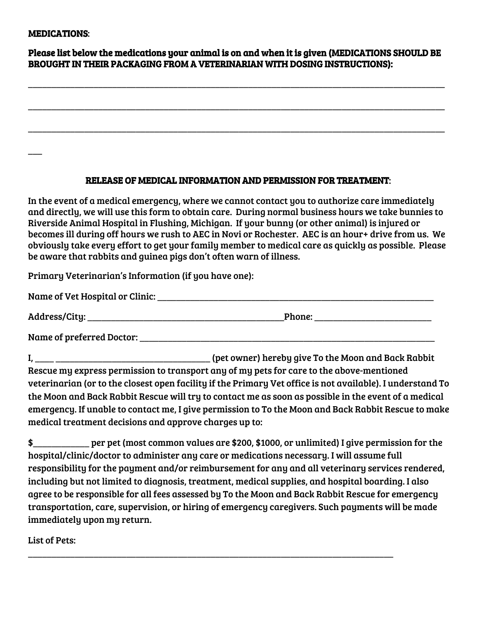#### MEDICATIONS:

 $\overline{\phantom{a}}$ 

| Please list below the medications your animal is on and when it is given (MEDICATIONS SHOULD BE |
|-------------------------------------------------------------------------------------------------|
| <b>BROUGHT IN THEIR PACKAGING FROM A VETERINARIAN WITH DOSING INSTRUCTIONS):</b>                |

\_\_\_\_\_\_\_\_\_\_\_\_\_\_\_\_\_\_\_\_\_\_\_\_\_\_\_\_\_\_\_\_\_\_\_\_\_\_\_\_\_\_\_\_\_\_\_\_\_\_\_\_\_\_\_\_\_\_\_\_\_\_\_\_\_\_\_\_\_\_\_\_\_\_\_\_\_\_\_\_\_\_\_\_\_\_\_\_\_

\_\_\_\_\_\_\_\_\_\_\_\_\_\_\_\_\_\_\_\_\_\_\_\_\_\_\_\_\_\_\_\_\_\_\_\_\_\_\_\_\_\_\_\_\_\_\_\_\_\_\_\_\_\_\_\_\_\_\_\_\_\_\_\_\_\_\_\_\_\_\_\_\_\_\_\_\_\_\_\_\_\_\_\_\_\_\_\_\_

\_\_\_\_\_\_\_\_\_\_\_\_\_\_\_\_\_\_\_\_\_\_\_\_\_\_\_\_\_\_\_\_\_\_\_\_\_\_\_\_\_\_\_\_\_\_\_\_\_\_\_\_\_\_\_\_\_\_\_\_\_\_\_\_\_\_\_\_\_\_\_\_\_\_\_\_\_\_\_\_\_\_\_\_\_\_\_\_\_

#### RELEASE OF MEDICAL INFORMATION AND PERMISSION FOR TREATMENT:

In the event of a medical emergency, where we cannot contact you to authorize care immediately and directly, we will use this form to obtain care. During normal business hours we take bunnies to Riverside Animal Hospital in Flushing, Michigan. If your bunny (or other animal) is injured or becomes ill during off hours we rush to AEC in Novi or Rochester. AEC is an hour+ drive from us. We obviously take every effort to get your family member to medical care as quickly as possible. Please be aware that rabbits and guinea pigs don't often warn of illness.

Primary Veterinarian's Information (if you have one):

| Name of Vet Hospital or Clinic: |        |
|---------------------------------|--------|
| Address/City:                   | Phone: |

Name of preferred Doctor:

I, \_\_\_\_ \_\_\_\_\_\_\_\_\_\_\_\_\_\_\_\_\_\_\_\_\_\_\_\_\_\_\_\_\_\_\_\_\_ (pet owner) hereby give To the Moon and Back Rabbit Rescue my express permission to transport any of my pets for care to the above-mentioned veterinarian (or to the closest open facility if the Primary Vet office is not available). I understand To the Moon and Back Rabbit Rescue will try to contact me as soon as possible in the event of a medical emergency. If unable to contact me, I give permission to To the Moon and Back Rabbit Rescue to make medical treatment decisions and approve charges up to:

\$\_\_\_\_\_\_\_\_\_\_\_\_ per pet (most common values are \$200, \$1000, or unlimited) I give permission for the hospital/clinic/doctor to administer any care or medications necessary. I will assume full responsibility for the payment and/or reimbursement for any and all veterinary services rendered, including but not limited to diagnosis, treatment, medical supplies, and hospital boarding. I also agree to be responsible for all fees assessed by To the Moon and Back Rabbit Rescue for emergency transportation, care, supervision, or hiring of emergency caregivers. Such payments will be made immediately upon my return.

\_\_\_\_\_\_\_\_\_\_\_\_\_\_\_\_\_\_\_\_\_\_\_\_\_\_\_\_\_\_\_\_\_\_\_\_\_\_\_\_\_\_\_\_\_\_\_\_\_\_\_\_\_\_\_\_\_\_\_\_\_\_\_\_\_\_\_\_\_\_\_\_\_\_\_\_\_\_

List of Pets: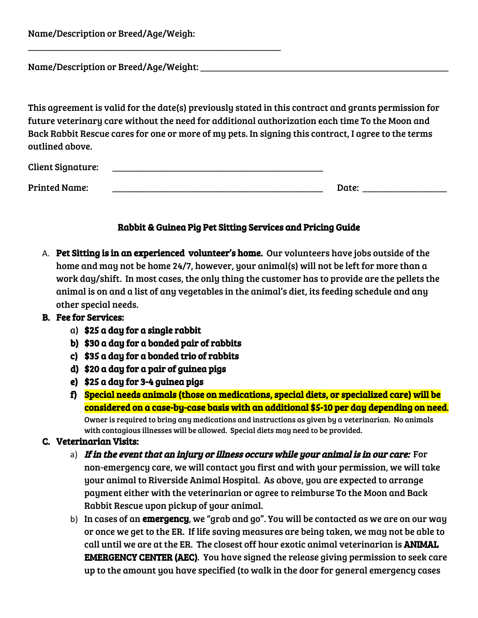| Name/Description or Breed/Age/Weigh: |  |  |  |  |
|--------------------------------------|--|--|--|--|
|--------------------------------------|--|--|--|--|

Name/Description or Breed/Age/Weight:

\_\_\_\_\_\_\_\_\_\_\_\_\_\_\_\_\_\_\_\_\_\_\_\_\_\_\_\_\_\_\_\_\_\_\_\_\_\_\_\_\_\_\_\_\_\_\_\_\_\_\_\_\_\_

This agreement is valid for the date(s) previously stated in this contract and grants permission for future veterinary care without the need for additional authorization each time To the Moon and Back Rabbit Rescue cares for one or more of my pets. In signing this contract, I agree to the terms outlined above.

| <b>Client Signature:</b> |       |
|--------------------------|-------|
| <b>Printed Name:</b>     | Date: |

### Rabbit & Guinea Pig Pet Sitting Services and Pricing Guide

A. Pet Sitting is in an experienced volunteer's home. Our volunteers have jobs outside of the home and may not be home 24/7, however, your animal(s) will not be left for more than a work day/shift. In most cases, the only thing the customer has to provide are the pellets the animal is on and a list of any vegetables in the animal's diet, its feeding schedule and any other special needs.

#### B. Fee for Services:

- a) \$25 a day for a single rabbit
- b) \$30 a day for a bonded pair of rabbits
- c) \$35 a day for a bonded trio of rabbits
- d) \$20 a day for a pair of guinea pigs
- e) \$25 a day for 3-4 guinea pigs
- f) Special needs animals (those on medications, special diets, or specialized care) will be considered on a case-by-case basis with an additional \$5-10 per day depending on need. Owner is required to bring any medications and instructions as given by a veterinarian. No animals with contagious illnesses will be allowed. Special diets may need to be provided.

#### C. Veterinarian Visits:

- a) If in the event that an injury or illness occurs while your animal is in our care: For non-emergency care, we will contact you first and with your permission, we will take your animal to Riverside Animal Hospital. As above, you are expected to arrange payment either with the veterinarian or agree to reimburse To the Moon and Back Rabbit Rescue upon pickup of your animal.
- b) In cases of an **emergency**, we "grab and go". You will be contacted as we are on our way or once we get to the ER. If life saving measures are being taken, we may not be able to call until we are at the ER. The closest off hour exotic animal veterinarian is ANIMAL EMERGENCY CENTER (AEC). You have signed the release giving permission to seek care up to the amount you have specified (to walk in the door for general emergency cases